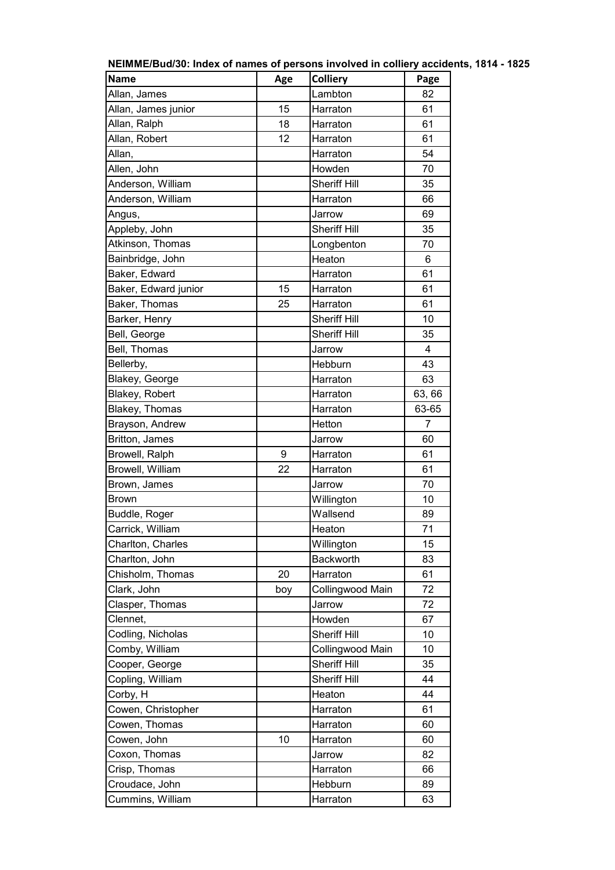| <b>Name</b>          | Age | <b>Colliery</b>     | Page   |
|----------------------|-----|---------------------|--------|
| Allan, James         |     | Lambton             | 82     |
| Allan, James junior  | 15  | Harraton            | 61     |
| Allan, Ralph         | 18  | Harraton            | 61     |
| Allan, Robert        | 12  | Harraton            | 61     |
| Allan,               |     | Harraton            | 54     |
| Allen, John          |     | Howden              | 70     |
| Anderson, William    |     | <b>Sheriff Hill</b> | 35     |
| Anderson, William    |     | Harraton            | 66     |
| Angus,               |     | Jarrow              | 69     |
| Appleby, John        |     | <b>Sheriff Hill</b> | 35     |
| Atkinson, Thomas     |     | Longbenton          | 70     |
| Bainbridge, John     |     | Heaton              | 6      |
| Baker, Edward        |     | Harraton            | 61     |
| Baker, Edward junior | 15  | Harraton            | 61     |
| Baker, Thomas        | 25  | Harraton            | 61     |
| Barker, Henry        |     | <b>Sheriff Hill</b> | 10     |
| Bell, George         |     | <b>Sheriff Hill</b> | 35     |
| Bell, Thomas         |     | Jarrow              | 4      |
| Bellerby,            |     | Hebburn             | 43     |
| Blakey, George       |     | Harraton            | 63     |
| Blakey, Robert       |     | Harraton            | 63, 66 |
| Blakey, Thomas       |     | Harraton            | 63-65  |
| Brayson, Andrew      |     | Hetton              | 7      |
| Britton, James       |     | Jarrow              | 60     |
| Browell, Ralph       | 9   | Harraton            | 61     |
| Browell, William     | 22  | Harraton            | 61     |
| Brown, James         |     | Jarrow              | 70     |
| Brown                |     | Willington          | 10     |
| Buddle, Roger        |     | Wallsend            | 89     |
| Carrick, William     |     | Heaton              | 71     |
| Charlton, Charles    |     | Willington          | 15     |
| Charlton, John       |     | Backworth           | 83     |
| Chisholm, Thomas     | 20  | Harraton            | 61     |
| Clark, John          | boy | Collingwood Main    | 72     |
| Clasper, Thomas      |     | Jarrow              | 72     |
| Clennet,             |     | Howden              | 67     |
| Codling, Nicholas    |     | <b>Sheriff Hill</b> | 10     |
| Comby, William       |     | Collingwood Main    | 10     |
| Cooper, George       |     | <b>Sheriff Hill</b> | 35     |
| Copling, William     |     | <b>Sheriff Hill</b> | 44     |
| Corby, H             |     | Heaton              | 44     |
| Cowen, Christopher   |     | Harraton            | 61     |
| Cowen, Thomas        |     | Harraton            | 60     |
| Cowen, John          | 10  | Harraton            | 60     |
| Coxon, Thomas        |     | Jarrow              | 82     |
| Crisp, Thomas        |     | Harraton            | 66     |
| Croudace, John       |     | Hebburn             | 89     |
| Cummins, William     |     | Harraton            | 63     |

**NEIMME/Bud/30: Index of names of persons involved in colliery accidents, 1814 - 1825**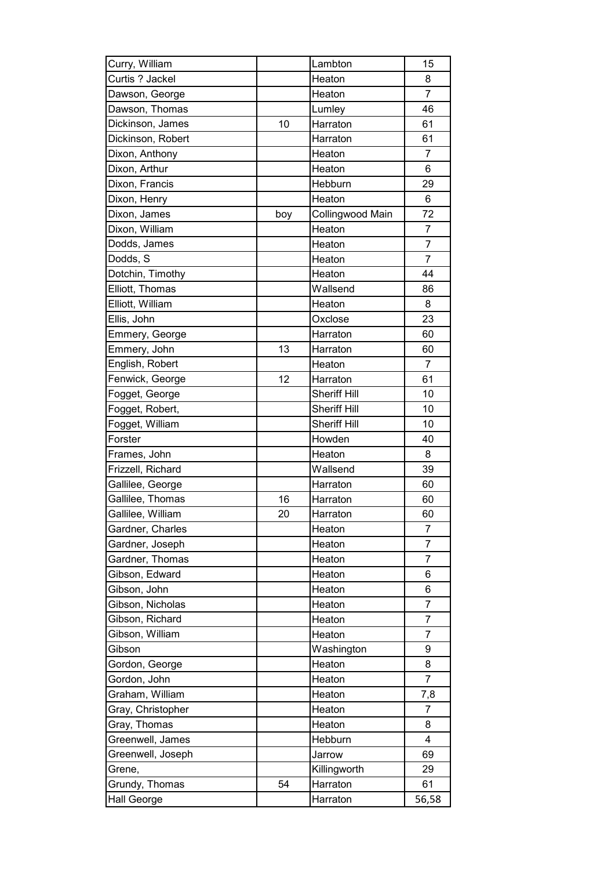| Curry, William    |     | Lambton             | 15             |
|-------------------|-----|---------------------|----------------|
| Curtis ? Jackel   |     | Heaton              | 8              |
| Dawson, George    |     | Heaton              | $\overline{7}$ |
| Dawson, Thomas    |     | Lumley              | 46             |
| Dickinson, James  | 10  | Harraton            | 61             |
| Dickinson, Robert |     | Harraton            | 61             |
| Dixon, Anthony    |     | Heaton              | $\overline{7}$ |
| Dixon, Arthur     |     | Heaton              | 6              |
| Dixon, Francis    |     | Hebburn             | 29             |
| Dixon, Henry      |     | Heaton              | 6              |
| Dixon, James      | boy | Collingwood Main    | 72             |
| Dixon, William    |     | Heaton              | 7              |
| Dodds, James      |     | Heaton              | 7              |
| Dodds, S          |     | Heaton              | 7              |
| Dotchin, Timothy  |     | Heaton              | 44             |
| Elliott, Thomas   |     | Wallsend            | 86             |
| Elliott, William  |     | Heaton              | 8              |
| Ellis, John       |     | Oxclose             | 23             |
| Emmery, George    |     | Harraton            | 60             |
| Emmery, John      | 13  | Harraton            | 60             |
| English, Robert   |     | Heaton              | 7              |
| Fenwick, George   | 12  | Harraton            | 61             |
| Fogget, George    |     | <b>Sheriff Hill</b> | 10             |
| Fogget, Robert,   |     | <b>Sheriff Hill</b> | 10             |
| Fogget, William   |     | <b>Sheriff Hill</b> | 10             |
| Forster           |     | Howden              | 40             |
| Frames, John      |     | Heaton              | 8              |
| Frizzell, Richard |     | Wallsend            | 39             |
| Gallilee, George  |     | Harraton            | 60             |
| Gallilee, Thomas  | 16  | Harraton            | 60             |
| Gallilee, William | 20  | Harraton            | 60             |
| Gardner, Charles  |     | Heaton              | 7              |
| Gardner, Joseph   |     | Heaton              | 7              |
| Gardner, Thomas   |     | Heaton              | $\overline{7}$ |
| Gibson, Edward    |     | Heaton              | 6              |
| Gibson, John      |     | Heaton              | 6              |
| Gibson, Nicholas  |     | Heaton              | 7              |
| Gibson, Richard   |     | Heaton              | 7              |
| Gibson, William   |     | Heaton              | 7              |
| Gibson            |     | Washington          | 9              |
| Gordon, George    |     | Heaton              | 8              |
| Gordon, John      |     | Heaton              | $\overline{7}$ |
| Graham, William   |     | Heaton              | 7,8            |
| Gray, Christopher |     | Heaton              | 7              |
| Gray, Thomas      |     | Heaton              | 8              |
| Greenwell, James  |     | Hebburn             | 4              |
| Greenwell, Joseph |     | Jarrow              | 69             |
| Grene,            |     | Killingworth        | 29             |
| Grundy, Thomas    | 54  | Harraton            | 61             |
| Hall George       |     | Harraton            | 56,58          |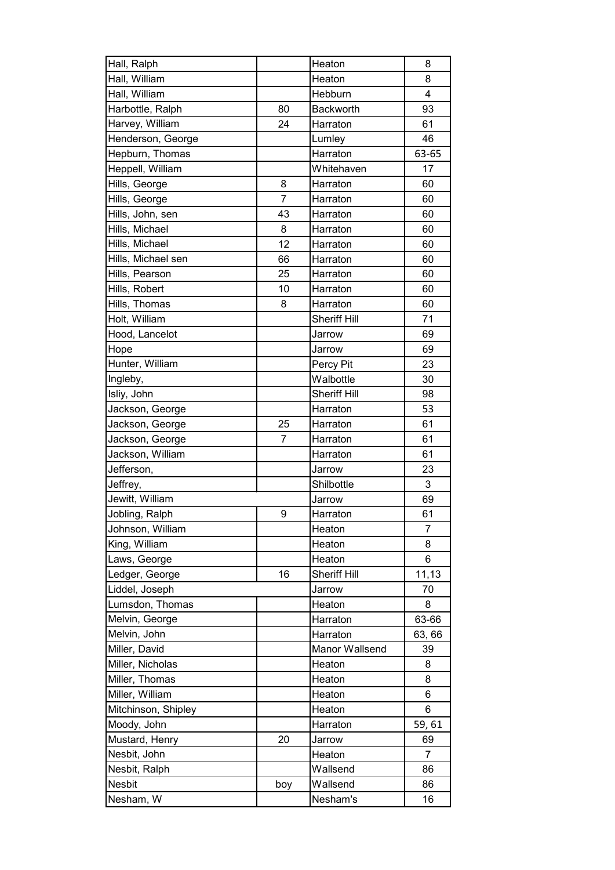| Hall, Ralph         |                | Heaton              | 8              |
|---------------------|----------------|---------------------|----------------|
| Hall, William       |                | Heaton              | 8              |
| Hall, William       |                | Hebburn             | 4              |
| Harbottle, Ralph    | 80             | Backworth           | 93             |
| Harvey, William     | 24             | Harraton            | 61             |
| Henderson, George   |                | Lumley              | 46             |
| Hepburn, Thomas     |                | Harraton            | 63-65          |
| Heppell, William    |                | Whitehaven          | 17             |
| Hills, George       | 8              | Harraton            | 60             |
| Hills, George       | $\overline{7}$ | Harraton            | 60             |
| Hills, John, sen    | 43             | Harraton            | 60             |
| Hills, Michael      | 8              | Harraton            | 60             |
| Hills, Michael      | 12             | Harraton            | 60             |
| Hills, Michael sen  | 66             | Harraton            | 60             |
| Hills, Pearson      | 25             | Harraton            | 60             |
| Hills, Robert       | 10             | Harraton            | 60             |
| Hills, Thomas       | 8              | Harraton            | 60             |
| Holt, William       |                | <b>Sheriff Hill</b> | 71             |
| Hood, Lancelot      |                | Jarrow              | 69             |
| Hope                |                | Jarrow              | 69             |
| Hunter, William     |                | Percy Pit           | 23             |
| Ingleby,            |                | Walbottle           | 30             |
| Isliy, John         |                | <b>Sheriff Hill</b> | 98             |
| Jackson, George     |                | Harraton            | 53             |
| Jackson, George     | 25             | Harraton            | 61             |
| Jackson, George     | 7              | Harraton            | 61             |
| Jackson, William    |                | Harraton            | 61             |
| Jefferson,          |                | Jarrow              | 23             |
| Jeffrey,            |                | Shilbottle          | 3              |
| Jewitt, William     |                | Jarrow              | 69             |
| Jobling, Ralph      | 9              | Harraton            | 61             |
| Johnson, William    |                | Heaton              | 7              |
| King, William       |                | Heaton              | 8              |
| Laws, George        |                | Heaton              | 6              |
| Ledger, George      | 16             | <b>Sheriff Hill</b> | 11,13          |
| Liddel, Joseph      |                | Jarrow              | 70             |
| Lumsdon, Thomas     |                | Heaton              | 8              |
| Melvin, George      |                | Harraton            | 63-66          |
| Melvin, John        |                | Harraton            | 63, 66         |
| Miller, David       |                | Manor Wallsend      | 39             |
| Miller, Nicholas    |                | Heaton              | 8              |
| Miller, Thomas      |                | Heaton              | 8              |
| Miller, William     |                | Heaton              | 6              |
| Mitchinson, Shipley |                | Heaton              | 6              |
| Moody, John         |                | Harraton            | 59,61          |
| Mustard, Henry      | 20             | Jarrow              | 69             |
| Nesbit, John        |                | Heaton              | $\overline{7}$ |
| Nesbit, Ralph       |                | Wallsend            | 86             |
| Nesbit              | boy            | Wallsend            | 86             |
| Nesham, W           |                | Nesham's            | 16             |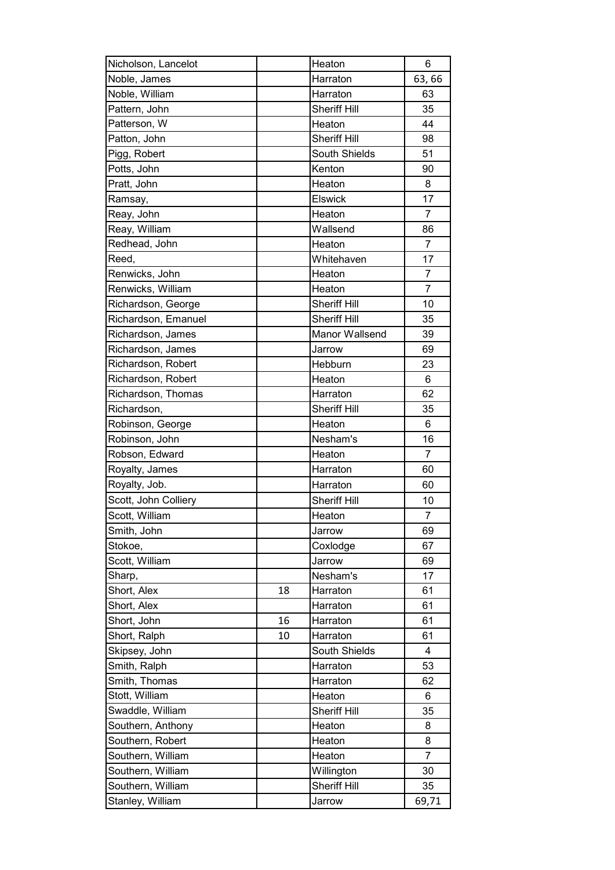| Nicholson, Lancelot  |    | Heaton              | 6              |
|----------------------|----|---------------------|----------------|
| Noble, James         |    | Harraton            | 63,66          |
| Noble, William       |    | Harraton            | 63             |
| Pattern, John        |    | <b>Sheriff Hill</b> | 35             |
| Patterson, W         |    | Heaton              | 44             |
| Patton, John         |    | <b>Sheriff Hill</b> | 98             |
| Pigg, Robert         |    | South Shields       | 51             |
| Potts, John          |    | Kenton              | 90             |
| Pratt, John          |    | Heaton              | 8              |
| Ramsay,              |    | <b>Elswick</b>      | 17             |
| Reay, John           |    | Heaton              | $\overline{7}$ |
| Reay, William        |    | Wallsend            | 86             |
| Redhead, John        |    | Heaton              | 7              |
| Reed,                |    | Whitehaven          | 17             |
| Renwicks, John       |    | Heaton              | 7              |
| Renwicks, William    |    | Heaton              | $\overline{7}$ |
| Richardson, George   |    | <b>Sheriff Hill</b> | 10             |
| Richardson, Emanuel  |    | <b>Sheriff Hill</b> | 35             |
| Richardson, James    |    | Manor Wallsend      | 39             |
| Richardson, James    |    | Jarrow              | 69             |
| Richardson, Robert   |    | Hebburn             | 23             |
| Richardson, Robert   |    | Heaton              | 6              |
| Richardson, Thomas   |    | Harraton            | 62             |
| Richardson,          |    | <b>Sheriff Hill</b> | 35             |
| Robinson, George     |    | Heaton              | 6              |
| Robinson, John       |    | Nesham's            | 16             |
| Robson, Edward       |    | Heaton              | $\overline{7}$ |
| Royalty, James       |    | Harraton            | 60             |
| Royalty, Job.        |    | Harraton            | 60             |
| Scott, John Colliery |    | <b>Sheriff Hill</b> | 10             |
| Scott, William       |    | Heaton              | $\overline{7}$ |
| Smith, John          |    | Jarrow              | 69             |
| Stokoe,              |    | Coxlodge            | 67             |
| Scott, William       |    | Jarrow              | 69             |
| Sharp,               |    | Nesham's            | 17             |
| Short, Alex          | 18 | Harraton            | 61             |
| Short, Alex          |    | Harraton            | 61             |
| Short, John          | 16 | Harraton            | 61             |
| Short, Ralph         | 10 | Harraton            | 61             |
| Skipsey, John        |    | South Shields       | 4              |
| Smith, Ralph         |    | Harraton            | 53             |
| Smith, Thomas        |    | Harraton            | 62             |
| Stott, William       |    | Heaton              | 6              |
| Swaddle, William     |    | <b>Sheriff Hill</b> | 35             |
| Southern, Anthony    |    | Heaton              | 8              |
| Southern, Robert     |    | Heaton              | 8              |
| Southern, William    |    | Heaton              | 7              |
| Southern, William    |    |                     | 30             |
| Southern, William    |    | Willington          |                |
|                      |    | <b>Sheriff Hill</b> | 35             |
| Stanley, William     |    | Jarrow              | 69,71          |